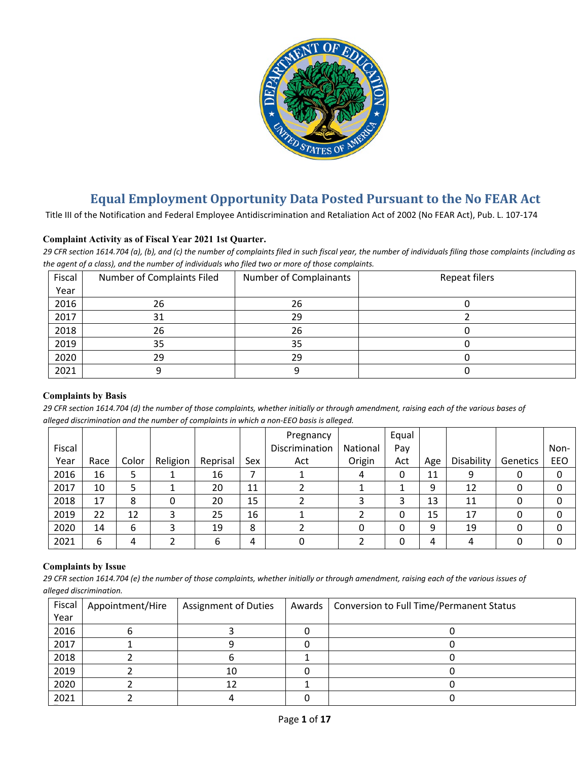

# **Equal Employment Opportunity Data Posted Pursuant to the No FEAR Act**

Title III of the Notification and Federal Employee Antidiscrimination and Retaliation Act of 2002 (No FEAR Act), Pub. L. 107-174

## **Complaint Activity as of Fiscal Year 2021 1st Quarter.**

*29 CFR section 1614.704 (a), (b), and (c) the number of complaints filed in such fiscal year, the number of individuals filing those complaints (including as the agent of a class), and the number of individuals who filed two or more of those complaints.*

| Fiscal | Number of Complaints Filed | Number of Complainants | <b>Repeat filers</b> |
|--------|----------------------------|------------------------|----------------------|
| Year   |                            |                        |                      |
| 2016   | 26                         | 26                     |                      |
| 2017   | 31                         | 29                     |                      |
| 2018   | 26                         | 26                     |                      |
| 2019   | 35                         | 35                     |                      |
| 2020   | 29                         | 29                     |                      |
| 2021   |                            |                        |                      |

#### **Complaints by Basis**

*29 CFR section 1614.704 (d) the number of those complaints, whether initially or through amendment, raising each of the various bases of alleged discrimination and the number of complaints in which a non-EEO basis is alleged.*

|        |      |       |          |          |     | Pregnancy      |          | Equal |     |            |          |      |
|--------|------|-------|----------|----------|-----|----------------|----------|-------|-----|------------|----------|------|
| Fiscal |      |       |          |          |     | Discrimination | National | Pay   |     |            |          | Non- |
| Year   | Race | Color | Religion | Reprisal | Sex | Act            | Origin   | Act   | Age | Disability | Genetics | EEO  |
| 2016   | 16   |       |          | 16       |     |                | 4        | 0     | 11  | 9          |          | 0    |
| 2017   | 10   |       |          | 20       | 11  |                |          |       | 9   | 12         |          | 0    |
| 2018   | 17   | 8     |          | 20       | 15  |                |          | 3     | 13  | 11         |          | 0    |
| 2019   | 22   | 12    |          | 25       | 16  |                |          | 0     | 15  | 17         |          | 0    |
| 2020   | 14   | 6     |          | 19       | 8   |                |          | 0     | 9   | 19         |          | 0    |
| 2021   | 6    | 4     |          | 6        | 4   |                |          | 0     | 4   | 4          |          | 0    |

#### **Complaints by Issue**

*29 CFR section 1614.704 (e) the number of those complaints, whether initially or through amendment, raising each of the various issues of alleged discrimination.*

| Fiscal | Appointment/Hire | <b>Assignment of Duties</b> | Awards   Conversion to Full Time/Permanent Status |
|--------|------------------|-----------------------------|---------------------------------------------------|
| Year   |                  |                             |                                                   |
| 2016   |                  |                             |                                                   |
| 2017   |                  |                             |                                                   |
| 2018   |                  |                             |                                                   |
| 2019   |                  | 10                          |                                                   |
| 2020   |                  |                             |                                                   |
| 2021   |                  |                             |                                                   |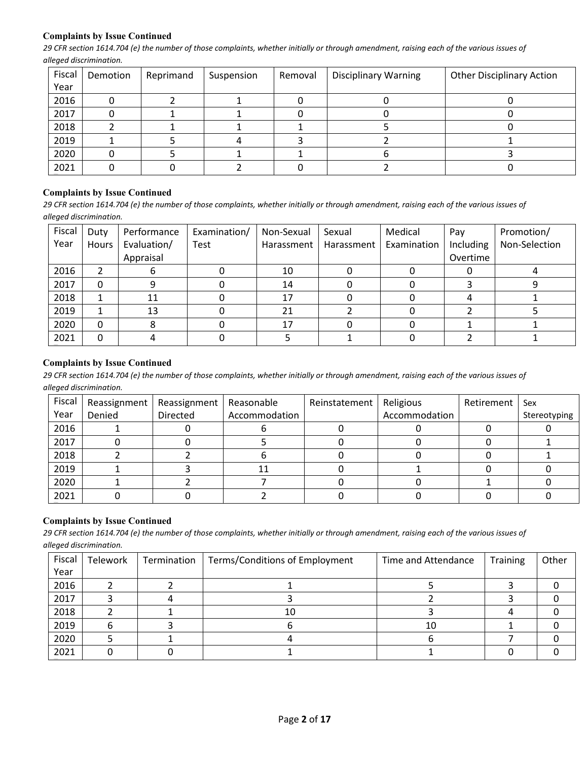## **Complaints by Issue Continued**

*29 CFR section 1614.704 (e) the number of those complaints, whether initially or through amendment, raising each of the various issues of alleged discrimination.*

| Fiscal | Demotion | Reprimand | Suspension | Removal | <b>Disciplinary Warning</b> | <b>Other Disciplinary Action</b> |
|--------|----------|-----------|------------|---------|-----------------------------|----------------------------------|
| Year   |          |           |            |         |                             |                                  |
| 2016   |          |           |            |         |                             |                                  |
| 2017   |          |           |            |         |                             |                                  |
| 2018   |          |           |            |         |                             |                                  |
| 2019   |          |           |            |         |                             |                                  |
| 2020   |          |           |            |         |                             |                                  |
| 2021   |          |           |            |         |                             |                                  |

#### **Complaints by Issue Continued**

*29 CFR section 1614.704 (e) the number of those complaints, whether initially or through amendment, raising each of the various issues of alleged discrimination.*

| Fiscal | Duty  | Performance | Examination/ | Non-Sexual | Sexual     | Medical     | Pay       | Promotion/    |
|--------|-------|-------------|--------------|------------|------------|-------------|-----------|---------------|
| Year   | Hours | Evaluation/ | Test         | Harassment | Harassment | Examination | Including | Non-Selection |
|        |       | Appraisal   |              |            |            |             | Overtime  |               |
| 2016   |       |             |              | 10         |            |             |           |               |
| 2017   |       |             |              | 14         |            |             |           |               |
| 2018   |       | 11          |              | 17         |            |             |           |               |
| 2019   |       | 13          |              | 21         |            |             |           |               |
| 2020   |       |             |              | 17         |            |             |           |               |
| 2021   |       |             |              |            |            |             |           |               |

## **Complaints by Issue Continued**

*29 CFR section 1614.704 (e) the number of those complaints, whether initially or through amendment, raising each of the various issues of alleged discrimination.*

| Fiscal | Reassignment | Reassignment   Reasonable |               | Reinstatement | Religious     | Retirement | Sex          |
|--------|--------------|---------------------------|---------------|---------------|---------------|------------|--------------|
| Year   | Denied       | Directed                  | Accommodation |               | Accommodation |            | Stereotyping |
| 2016   |              |                           |               |               |               |            |              |
| 2017   |              |                           |               |               |               |            |              |
| 2018   |              |                           |               |               |               |            |              |
| 2019   |              |                           | 11            |               |               |            |              |
| 2020   |              |                           |               |               |               |            |              |
| 2021   |              |                           |               |               |               |            |              |

# **Complaints by Issue Continued**

*29 CFR section 1614.704 (e) the number of those complaints, whether initially or through amendment, raising each of the various issues of alleged discrimination.*

| Fiscal | Telework | Termination | Terms/Conditions of Employment | Time and Attendance | <b>Training</b> | Other |
|--------|----------|-------------|--------------------------------|---------------------|-----------------|-------|
| Year   |          |             |                                |                     |                 |       |
| 2016   |          |             |                                |                     |                 |       |
| 2017   |          |             |                                |                     |                 |       |
| 2018   |          |             | 10                             |                     |                 |       |
| 2019   |          |             |                                | 10                  |                 |       |
| 2020   |          |             |                                |                     |                 |       |
| 2021   |          |             |                                |                     |                 |       |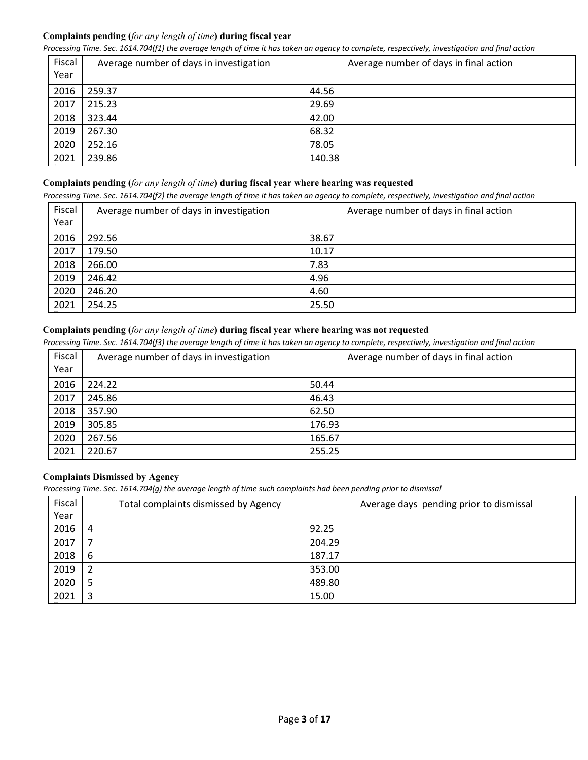# **Complaints pending (***for any length of time***) during fiscal year**

*Processing Time. Sec. 1614.704(f1) the average length of time it has taken an agency to complete, respectively, investigation and final action*

| Fiscal<br>Year | Average number of days in investigation | Average number of days in final action |
|----------------|-----------------------------------------|----------------------------------------|
| 2016           | 259.37                                  | 44.56                                  |
| 2017           | 215.23                                  | 29.69                                  |
| 2018           | 323.44                                  | 42.00                                  |
| 2019           | 267.30                                  | 68.32                                  |
| 2020           | 252.16                                  | 78.05                                  |
| 2021           | 239.86                                  | 140.38                                 |

## **Complaints pending (***for any length of time***) during fiscal year where hearing was requested**

*Processing Time. Sec. 1614.704(f2) the average length of time it has taken an agency to complete, respectively, investigation and final action*

| Fiscal<br>Year | Average number of days in investigation | Average number of days in final action |
|----------------|-----------------------------------------|----------------------------------------|
| 2016           | 292.56                                  | 38.67                                  |
| 2017           | 179.50                                  | 10.17                                  |
| 2018           | 266.00                                  | 7.83                                   |
| 2019           | 246.42                                  | 4.96                                   |
| 2020           | 246.20                                  | 4.60                                   |
| 2021           | 254.25                                  | 25.50                                  |

# **Complaints pending (***for any length of time***) during fiscal year where hearing was not requested**

*Processing Time. Sec. 1614.704(f3) the average length of time it has taken an agency to complete, respectively, investigation and final action*

| Fiscal | Average number of days in investigation | Average number of days in final action. |
|--------|-----------------------------------------|-----------------------------------------|
| Year   |                                         |                                         |
| 2016   | 224.22                                  | 50.44                                   |
| 2017   | 245.86                                  | 46.43                                   |
| 2018   | 357.90                                  | 62.50                                   |
| 2019   | 305.85                                  | 176.93                                  |
| 2020   | 267.56                                  | 165.67                                  |
| 2021   | 220.67                                  | 255.25                                  |

# **Complaints Dismissed by Agency**

*Processing Time. Sec. 1614.704(g) the average length of time such complaints had been pending prior to dismissal*

| Fiscal | Total complaints dismissed by Agency | Average days pending prior to dismissal |
|--------|--------------------------------------|-----------------------------------------|
| Year   |                                      |                                         |
| 2016   | 4                                    | 92.25                                   |
| 2017   |                                      | 204.29                                  |
| 2018   | 6                                    | 187.17                                  |
| 2019   | $\overline{2}$                       | 353.00                                  |
| 2020   | 5                                    | 489.80                                  |
| 2021   | 3                                    | 15.00                                   |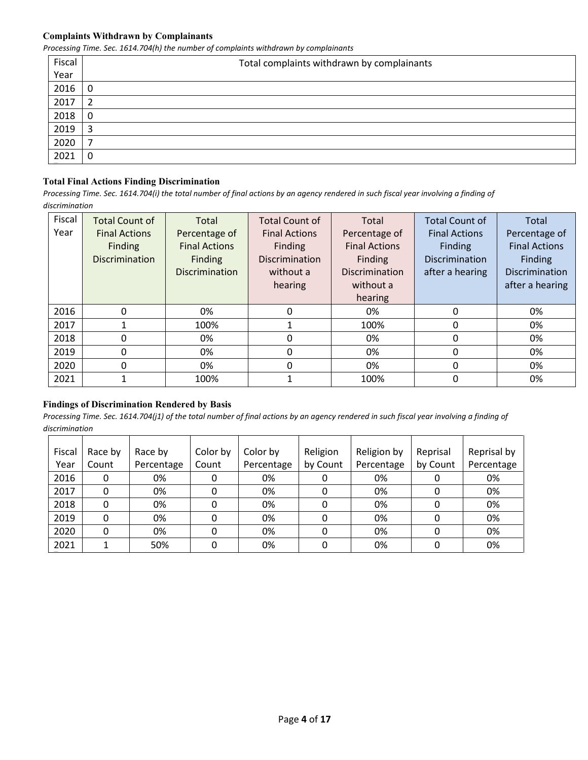#### **Complaints Withdrawn by Complainants**

*Processing Time. Sec. 1614.704(h) the number of complaints withdrawn by complainants*

| Fiscal | Total complaints withdrawn by complainants |
|--------|--------------------------------------------|
| Year   |                                            |
| 2016   | 0                                          |
| 2017   | 2                                          |
| 2018   | 0                                          |
| 2019   | 3                                          |
| 2020   | ⇁                                          |
| 2021   | 0                                          |

# **Total Final Actions Finding Discrimination**

*Processing Time. Sec. 1614.704(i) the total number of final actions by an agency rendered in such fiscal year involving a finding of discrimination* 

| Fiscal | <b>Total Count of</b> | Total                 | <b>Total Count of</b> | Total                 | <b>Total Count of</b> | Total                 |
|--------|-----------------------|-----------------------|-----------------------|-----------------------|-----------------------|-----------------------|
| Year   | <b>Final Actions</b>  | Percentage of         | <b>Final Actions</b>  | Percentage of         | <b>Final Actions</b>  | Percentage of         |
|        | Finding               | <b>Final Actions</b>  | Finding               | <b>Final Actions</b>  | Finding               | <b>Final Actions</b>  |
|        | <b>Discrimination</b> | Finding               | <b>Discrimination</b> | Finding               | <b>Discrimination</b> | <b>Finding</b>        |
|        |                       | <b>Discrimination</b> | without a             | <b>Discrimination</b> | after a hearing       | <b>Discrimination</b> |
|        |                       |                       | hearing               | without a             |                       | after a hearing       |
|        |                       |                       |                       | hearing               |                       |                       |
| 2016   | $\Omega$              | 0%                    | 0                     | 0%                    | 0                     | 0%                    |
| 2017   |                       | 100%                  |                       | 100%                  | 0                     | 0%                    |
| 2018   | 0                     | 0%                    | 0                     | 0%                    | $\mathbf{0}$          | 0%                    |
| 2019   | $\Omega$              | 0%                    | 0                     | 0%                    | $\Omega$              | 0%                    |
| 2020   | 0                     | 0%                    | 0                     | 0%                    | 0                     | 0%                    |
| 2021   |                       | 100%                  |                       | 100%                  | 0                     | 0%                    |

#### **Findings of Discrimination Rendered by Basis**

| Fiscal | Race by | Race by    | Color by | Color by   | Religion | Religion by | Reprisal | Reprisal by |
|--------|---------|------------|----------|------------|----------|-------------|----------|-------------|
| Year   | Count   | Percentage | Count    | Percentage | by Count | Percentage  | by Count | Percentage  |
| 2016   | 0       | 0%         |          | 0%         |          | 0%          |          | 0%          |
| 2017   | 0       | 0%         |          | 0%         |          | 0%          |          | 0%          |
| 2018   |         | 0%         |          | 0%         |          | 0%          | 0        | 0%          |
| 2019   | 0       | 0%         |          | 0%         | 0        | 0%          |          | 0%          |
| 2020   | 0       | 0%         |          | 0%         | 0        | 0%          | 0        | 0%          |
| 2021   |         | 50%        |          | 0%         |          | 0%          |          | 0%          |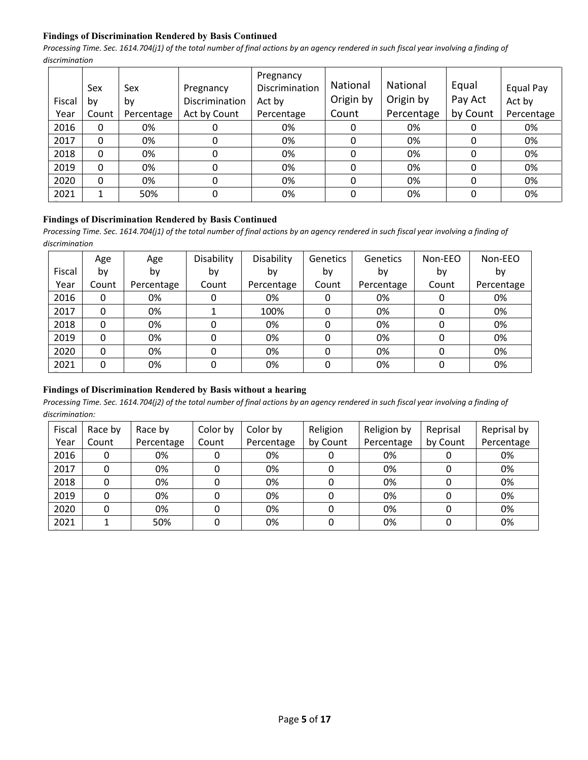## **Findings of Discrimination Rendered by Basis Continued**

*Processing Time. Sec. 1614.704(j1) of the total number of final actions by an agency rendered in such fiscal year involving a finding of discrimination* 

| Fiscal | Sex<br>b٧ | Sex<br>by  | Pregnancy<br>Discrimination | Pregnancy<br>Discrimination<br>Act by | <b>National</b><br>Origin by | National<br>Origin by | Equal<br>Pay Act | Equal Pay<br>Act by |
|--------|-----------|------------|-----------------------------|---------------------------------------|------------------------------|-----------------------|------------------|---------------------|
| Year   | Count     | Percentage | Act by Count                | Percentage                            | Count                        | Percentage            | by Count         | Percentage          |
| 2016   | 0         | 0%         | O                           | 0%                                    | 0                            | 0%                    |                  | 0%                  |
| 2017   | 0         | 0%         | 0                           | 0%                                    | 0                            | 0%                    | 0                | 0%                  |
| 2018   | 0         | 0%         | 0                           | 0%                                    | 0                            | 0%                    | 0                | 0%                  |
| 2019   | 0         | 0%         | 0                           | 0%                                    | 0                            | 0%                    | 0                | 0%                  |
| 2020   | 0         | 0%         | 0                           | 0%                                    | 0                            | 0%                    | 0                | 0%                  |
| 2021   |           | 50%        | 0                           | 0%                                    | 0                            | 0%                    | 0                | 0%                  |

# **Findings of Discrimination Rendered by Basis Continued**

Processing Time. Sec. 1614.704(j1) of the total number of final actions by an agency rendered in such fiscal year involving a finding of *discrimination* 

|        | Age   | Age        | Disability | Disability | <b>Genetics</b> | Genetics   | Non-EEO | Non-EEO    |
|--------|-------|------------|------------|------------|-----------------|------------|---------|------------|
| Fiscal | by    | by         | by         | by         | by              | by         | by      | by         |
| Year   | Count | Percentage | Count      | Percentage | Count           | Percentage | Count   | Percentage |
| 2016   | 0     | 0%         | 0          | 0%         | 0               | 0%         | 0       | 0%         |
| 2017   | 0     | 0%         |            | 100%       | 0               | 0%         | 0       | 0%         |
| 2018   | 0     | 0%         | 0          | 0%         | 0               | 0%         | 0       | 0%         |
| 2019   | 0     | 0%         | 0          | 0%         | 0               | 0%         | 0       | 0%         |
| 2020   | 0     | 0%         | 0          | 0%         | 0               | 0%         | 0       | 0%         |
| 2021   | 0     | 0%         | 0          | 0%         | 0               | 0%         | 0       | 0%         |

# **Findings of Discrimination Rendered by Basis without a hearing**

| Fiscal | Race by | Race by    | Color by | Color by   | Religion | Religion by | Reprisal | Reprisal by |
|--------|---------|------------|----------|------------|----------|-------------|----------|-------------|
| Year   | Count   | Percentage | Count    | Percentage | by Count | Percentage  | by Count | Percentage  |
| 2016   |         | 0%         |          | 0%         |          | 0%          |          | 0%          |
| 2017   |         | 0%         |          | 0%         |          | 0%          |          | 0%          |
| 2018   |         | 0%         |          | 0%         |          | 0%          |          | 0%          |
| 2019   |         | 0%         |          | 0%         |          | 0%          |          | 0%          |
| 2020   | 0       | 0%         |          | 0%         |          | 0%          |          | 0%          |
| 2021   |         | 50%        |          | 0%         |          | 0%          |          | 0%          |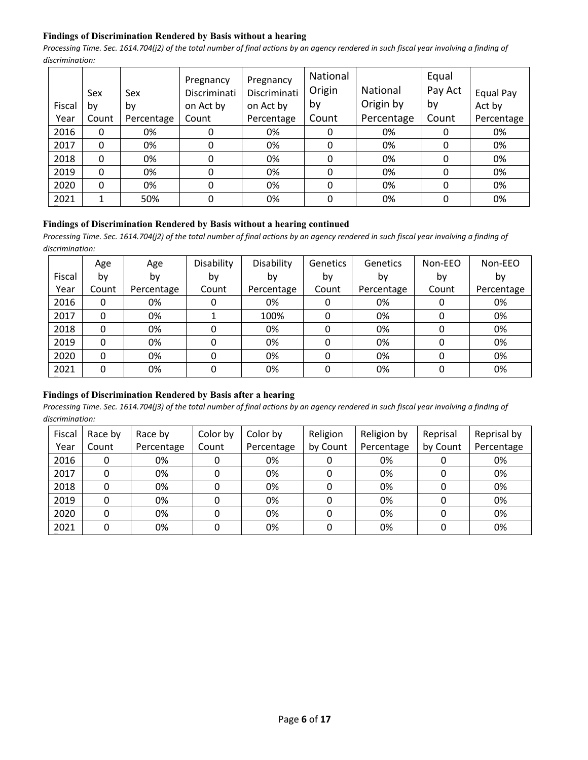## **Findings of Discrimination Rendered by Basis without a hearing**

*Processing Time. Sec. 1614.704(j2) of the total number of final actions by an agency rendered in such fiscal year involving a finding of discrimination:* 

|        | Sex          | Sex        | Pregnancy<br>Discriminati | Pregnancy<br>Discriminati | National<br>Origin | National   | Equal<br>Pay Act | Equal Pay  |
|--------|--------------|------------|---------------------------|---------------------------|--------------------|------------|------------------|------------|
| Fiscal | by           | by         | on Act by                 | on Act by                 | by                 | Origin by  | by               | Act by     |
| Year   | Count        | Percentage | Count                     | Percentage                | Count              | Percentage | Count            | Percentage |
| 2016   | 0            | 0%         |                           | 0%                        | 0                  | 0%         | 0                | 0%         |
| 2017   | 0            | 0%         | 0                         | 0%                        | 0                  | 0%         | 0                | 0%         |
| 2018   | 0            | 0%         | 0                         | 0%                        | $\mathbf{0}$       | 0%         | 0                | 0%         |
| 2019   | $\Omega$     | 0%         | 0                         | 0%                        | 0                  | 0%         | 0                | 0%         |
| 2020   | $\mathbf{0}$ | 0%         | 0                         | 0%                        | $\Omega$           | 0%         | 0                | 0%         |
| 2021   | 1            | 50%        | 0                         | 0%                        | $\mathbf{0}$       | 0%         | 0                | 0%         |

#### **Findings of Discrimination Rendered by Basis without a hearing continued**

*Processing Time. Sec. 1614.704(j2) of the total number of final actions by an agency rendered in such fiscal year involving a finding of discrimination:* 

|        | Age   | Age        | Disability | Disability | Genetics | Genetics   | Non-EEO | Non-EEO    |
|--------|-------|------------|------------|------------|----------|------------|---------|------------|
| Fiscal | b٧    | by         | by         | bv         | by       | by         | by      | by         |
| Year   | Count | Percentage | Count      | Percentage | Count    | Percentage | Count   | Percentage |
| 2016   | 0     | 0%         |            | 0%         | 0        | 0%         |         | 0%         |
| 2017   | 0     | 0%         |            | 100%       |          | 0%         |         | 0%         |
| 2018   | 0     | 0%         |            | 0%         |          | 0%         |         | 0%         |
| 2019   | 0     | 0%         |            | 0%         |          | 0%         |         | 0%         |
| 2020   | 0     | 0%         |            | 0%         |          | 0%         |         | 0%         |
| 2021   | 0     | 0%         | O          | 0%         | 0        | 0%         |         | 0%         |

#### **Findings of Discrimination Rendered by Basis after a hearing**

| Fiscal | Race by | Race by    | Color by | Color by   | Religion | Religion by | Reprisal | Reprisal by |
|--------|---------|------------|----------|------------|----------|-------------|----------|-------------|
| Year   | Count   | Percentage | Count    | Percentage | by Count | Percentage  | by Count | Percentage  |
| 2016   | 0       | 0%         |          | 0%         |          | 0%          |          | 0%          |
| 2017   |         | 0%         |          | 0%         |          | 0%          |          | 0%          |
| 2018   |         | 0%         |          | 0%         |          | 0%          |          | 0%          |
| 2019   |         | 0%         |          | 0%         |          | 0%          |          | 0%          |
| 2020   |         | 0%         |          | 0%         |          | 0%          |          | 0%          |
| 2021   |         | 0%         |          | 0%         |          | 0%          |          | 0%          |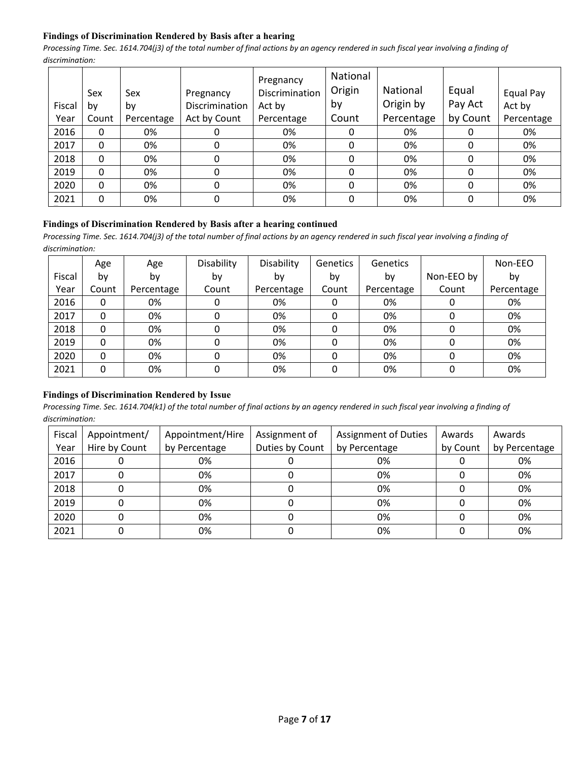# **Findings of Discrimination Rendered by Basis after a hearing**

*Processing Time. Sec. 1614.704(j3) of the total number of final actions by an agency rendered in such fiscal year involving a finding of discrimination:* 

|        |       |            |                | Pregnancy      | National |                 |          |            |
|--------|-------|------------|----------------|----------------|----------|-----------------|----------|------------|
|        | Sex   | Sex        | Pregnancy      | Discrimination | Origin   | <b>National</b> | Equal    | Equal Pay  |
| Fiscal | b٧    | by         | Discrimination | Act by         | by       | Origin by       | Pay Act  | Act by     |
| Year   | Count | Percentage | Act by Count   | Percentage     | Count    | Percentage      | by Count | Percentage |
| 2016   | 0     | 0%         | 0              | 0%             | 0        | 0%              |          | 0%         |
| 2017   | 0     | 0%         | 0              | 0%             | 0        | 0%              | 0        | 0%         |
| 2018   | 0     | 0%         | 0              | 0%             | 0        | 0%              | 0        | 0%         |
| 2019   | 0     | 0%         | 0              | 0%             | 0        | 0%              | 0        | 0%         |
| 2020   | 0     | 0%         | 0              | 0%             | 0        | 0%              | 0        | 0%         |
| 2021   | 0     | 0%         | 0              | 0%             | 0        | 0%              | 0        | 0%         |

#### **Findings of Discrimination Rendered by Basis after a hearing continued**

*Processing Time. Sec. 1614.704(j3) of the total number of final actions by an agency rendered in such fiscal year involving a finding of discrimination:* 

|        | Age   | Age        | Disability | Disability | <b>Genetics</b> | <b>Genetics</b> |            | Non-EEO    |
|--------|-------|------------|------------|------------|-----------------|-----------------|------------|------------|
| Fiscal | b٧    | by         | by         | bv         | by              | by              | Non-EEO by | by         |
| Year   | Count | Percentage | Count      | Percentage | Count           | Percentage      | Count      | Percentage |
| 2016   | 0     | 0%         | 0          | 0%         | 0               | 0%              | 0          | 0%         |
| 2017   | 0     | 0%         | 0          | 0%         | 0               | 0%              | 0          | 0%         |
| 2018   | 0     | 0%         | 0          | 0%         | 0               | 0%              | 0          | 0%         |
| 2019   | 0     | 0%         | 0          | 0%         | 0               | 0%              | 0          | 0%         |
| 2020   | 0     | 0%         | 0          | 0%         | 0               | 0%              | 0          | 0%         |
| 2021   | 0     | 0%         | 0          | 0%         | $\Omega$        | 0%              | 0          | 0%         |

#### **Findings of Discrimination Rendered by Issue**

| Fiscal<br>Year | Appointment/<br>Hire by Count | Appointment/Hire<br>by Percentage | Assignment of<br>Duties by Count | <b>Assignment of Duties</b><br>by Percentage | Awards<br>by Count | Awards<br>by Percentage |
|----------------|-------------------------------|-----------------------------------|----------------------------------|----------------------------------------------|--------------------|-------------------------|
| 2016           |                               | 0%                                |                                  | 0%                                           |                    | 0%                      |
| 2017           |                               | 0%                                |                                  | 0%                                           |                    | 0%                      |
| 2018           |                               | 0%                                |                                  | 0%                                           |                    | 0%                      |
| 2019           |                               | 0%                                |                                  | 0%                                           |                    | 0%                      |
| 2020           |                               | 0%                                |                                  | 0%                                           |                    | 0%                      |
| 2021           |                               | 0%                                |                                  | 0%                                           |                    | 0%                      |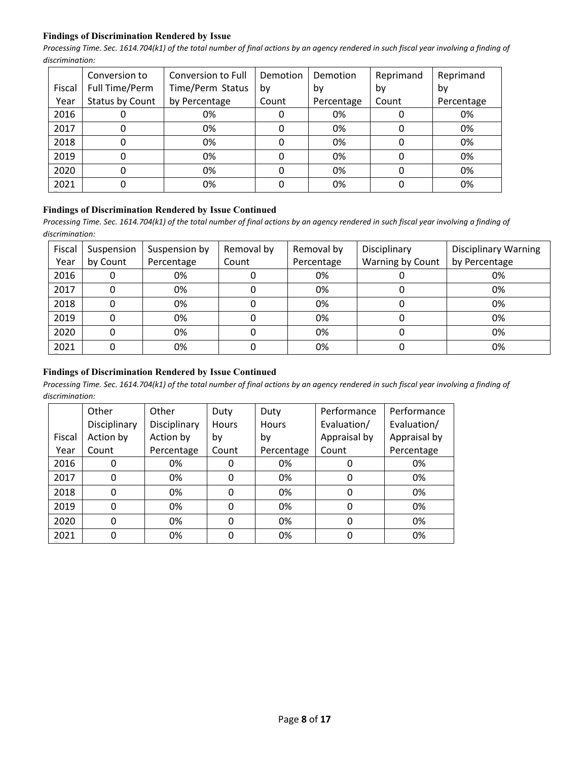## **Findings of Discrimination Rendered by Issue**

*Processing Time. Sec. 1614.704(k1) of the total number of final actions by an agency rendered in such fiscal year involving a finding of discrimination:* 

|        | Conversion to   | Conversion to Full | Demotion | Demotion   | Reprimand | Reprimand  |
|--------|-----------------|--------------------|----------|------------|-----------|------------|
| Fiscal | Full Time/Perm  | Time/Perm Status   | bv       | bv         | bv        | bv         |
| Year   | Status by Count | by Percentage      | Count    | Percentage | Count     | Percentage |
| 2016   | O               | 0%                 |          | 0%         |           | 0%         |
| 2017   | 0               | 0%                 | 0        | 0%         | 0         | 0%         |
| 2018   | 0               | 0%                 |          | 0%         | 0         | 0%         |
| 2019   | 0               | 0%                 |          | 0%         | O         | 0%         |
| 2020   | 0               | 0%                 |          | 0%         | 0         | 0%         |
| 2021   | 0               | 0%                 |          | 0%         |           | 0%         |

#### **Findings of Discrimination Rendered by Issue Continued**

*Processing Time. Sec. 1614.704(k1) of the total number of final actions by an agency rendered in such fiscal year involving a finding of discrimination:* 

| Fiscal | Suspension | Suspension by | Removal by | Removal by | Disciplinary     | <b>Disciplinary Warning</b> |
|--------|------------|---------------|------------|------------|------------------|-----------------------------|
| Year   | by Count   | Percentage    | Count      | Percentage | Warning by Count | by Percentage               |
| 2016   |            | 0%            |            | 0%         |                  | 0%                          |
| 2017   |            | 0%            |            | 0%         |                  | 0%                          |
| 2018   |            | 0%            |            | 0%         |                  | 0%                          |
| 2019   |            | 0%            |            | 0%         |                  | 0%                          |
| 2020   |            | 0%            |            | 0%         |                  | 0%                          |
| 2021   |            | 0%            |            | 0%         |                  | 0%                          |

# **Findings of Discrimination Rendered by Issue Continued**

|        | Other        | Other        | Duty     | Duty         | Performance  | Performance  |
|--------|--------------|--------------|----------|--------------|--------------|--------------|
|        | Disciplinary | Disciplinary | Hours    | <b>Hours</b> | Evaluation/  | Evaluation/  |
| Fiscal | Action by    | Action by    | by       | by           | Appraisal by | Appraisal by |
| Year   | Count        | Percentage   | Count    | Percentage   | Count        | Percentage   |
| 2016   | 0            | 0%           | 0        | 0%           | 0            | 0%           |
| 2017   | $\mathbf{0}$ | 0%           | 0        | 0%           | 0            | 0%           |
| 2018   | 0            | 0%           | 0        | 0%           | 0            | 0%           |
| 2019   | 0            | 0%           | $\Omega$ | 0%           | 0            | 0%           |
| 2020   | 0            | 0%           | 0        | 0%           | 0            | 0%           |
| 2021   | 0            | 0%           |          | 0%           | 0            | 0%           |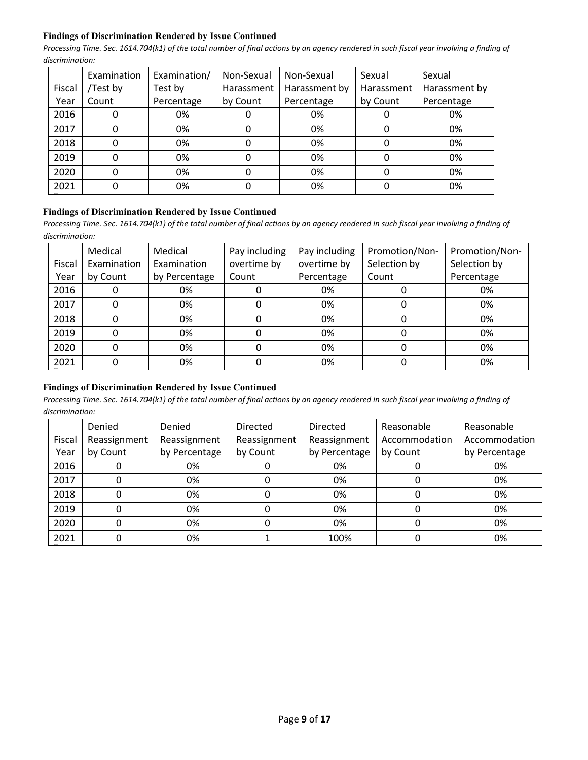## **Findings of Discrimination Rendered by Issue Continued**

*Processing Time. Sec. 1614.704(k1) of the total number of final actions by an agency rendered in such fiscal year involving a finding of discrimination:* 

|        | Examination | Examination/ | Non-Sexual | Non-Sexual    | Sexual     | Sexual        |
|--------|-------------|--------------|------------|---------------|------------|---------------|
| Fiscal | /Test by    | Test by      | Harassment | Harassment by | Harassment | Harassment by |
| Year   | Count       | Percentage   | by Count   | Percentage    | by Count   | Percentage    |
| 2016   |             | 0%           |            | 0%            |            | 0%            |
| 2017   |             | 0%           |            | 0%            |            | 0%            |
| 2018   |             | 0%           |            | 0%            |            | 0%            |
| 2019   |             | 0%           |            | 0%            |            | 0%            |
| 2020   |             | 0%           |            | 0%            |            | 0%            |
| 2021   |             | 0%           |            | 0%            |            | 0%            |

## **Findings of Discrimination Rendered by Issue Continued**

*Processing Time. Sec. 1614.704(k1) of the total number of final actions by an agency rendered in such fiscal year involving a finding of discrimination:* 

|        | Medical     | Medical       | Pay including | Pay including | Promotion/Non- | Promotion/Non- |
|--------|-------------|---------------|---------------|---------------|----------------|----------------|
| Fiscal | Examination | Examination   | overtime by   | overtime by   | Selection by   | Selection by   |
| Year   | by Count    | by Percentage | Count         | Percentage    | Count          | Percentage     |
| 2016   | 0           | 0%            |               | 0%            |                | 0%             |
| 2017   | 0           | 0%            |               | 0%            |                | 0%             |
| 2018   | 0           | 0%            |               | 0%            |                | 0%             |
| 2019   | 0           | 0%            |               | 0%            |                | 0%             |
| 2020   | 0           | 0%            |               | 0%            |                | 0%             |
| 2021   | 0           | 0%            |               | 0%            |                | 0%             |

# **Findings of Discrimination Rendered by Issue Continued**

|        | Denied       | Denied        | <b>Directed</b> | <b>Directed</b> | Reasonable    | Reasonable    |
|--------|--------------|---------------|-----------------|-----------------|---------------|---------------|
| Fiscal | Reassignment | Reassignment  | Reassignment    | Reassignment    | Accommodation | Accommodation |
| Year   | by Count     | by Percentage | by Count        | by Percentage   | by Count      | by Percentage |
| 2016   |              | 0%            |                 | 0%              |               | 0%            |
| 2017   |              | 0%            | 0               | 0%              |               | 0%            |
| 2018   |              | 0%            |                 | 0%              |               | 0%            |
| 2019   |              | 0%            |                 | 0%              |               | 0%            |
| 2020   |              | 0%            |                 | 0%              |               | 0%            |
| 2021   |              | 0%            |                 | 100%            |               | 0%            |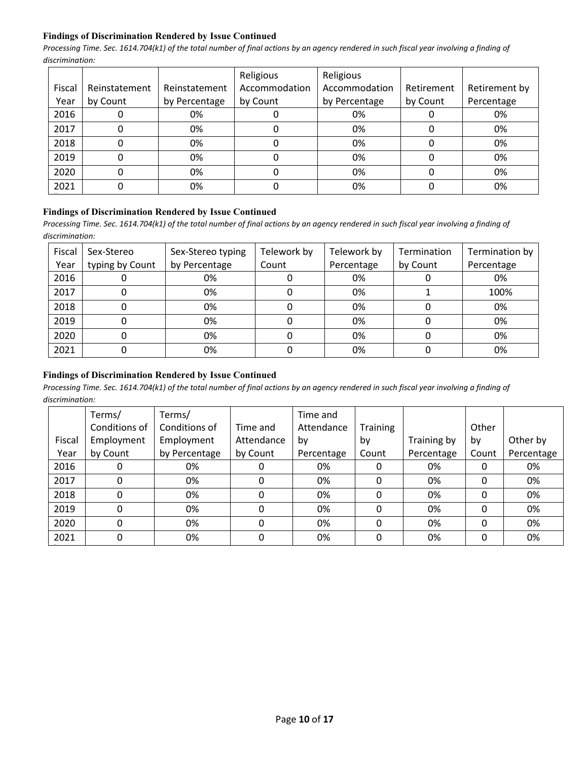## **Findings of Discrimination Rendered by Issue Continued**

*Processing Time. Sec. 1614.704(k1) of the total number of final actions by an agency rendered in such fiscal year involving a finding of discrimination:* 

|        |               |               | Religious     | Religious     |            |               |
|--------|---------------|---------------|---------------|---------------|------------|---------------|
| Fiscal | Reinstatement | Reinstatement | Accommodation | Accommodation | Retirement | Retirement by |
| Year   | by Count      | by Percentage | by Count      | by Percentage | by Count   | Percentage    |
| 2016   |               | 0%            |               | 0%            |            | 0%            |
| 2017   |               | 0%            |               | 0%            |            | 0%            |
| 2018   |               | 0%            |               | 0%            |            | 0%            |
| 2019   |               | 0%            |               | 0%            |            | 0%            |
| 2020   |               | 0%            |               | 0%            |            | 0%            |
| 2021   |               | 0%            |               | 0%            |            | 0%            |

#### **Findings of Discrimination Rendered by Issue Continued**

Processing Time. Sec. 1614.704(k1) of the total number of final actions by an agency rendered in such fiscal year involving a finding of *discrimination:* 

| Fiscal<br>Year | Sex-Stereo<br>typing by Count | Sex-Stereo typing<br>by Percentage | Telework by<br>Count | Telework by<br>Percentage | Termination<br>by Count | Termination by<br>Percentage |
|----------------|-------------------------------|------------------------------------|----------------------|---------------------------|-------------------------|------------------------------|
| 2016           |                               | 0%                                 |                      | 0%                        |                         | 0%                           |
| 2017           |                               | 0%                                 |                      | 0%                        |                         | 100%                         |
| 2018           |                               | 0%                                 |                      | 0%                        |                         | 0%                           |
| 2019           |                               | 0%                                 |                      | 0%                        |                         | 0%                           |
| 2020           |                               | 0%                                 |                      | 0%                        |                         | 0%                           |
| 2021           |                               | 0%                                 |                      | 0%                        |                         | 0%                           |

# **Findings of Discrimination Rendered by Issue Continued**

|        | Terms/        | Terms/        |            | Time and   |                 |             |       |            |
|--------|---------------|---------------|------------|------------|-----------------|-------------|-------|------------|
|        | Conditions of | Conditions of | Time and   | Attendance | <b>Training</b> |             | Other |            |
| Fiscal | Employment    | Employment    | Attendance | b٧         | by              | Training by | by    | Other by   |
| Year   | by Count      | by Percentage | by Count   | Percentage | Count           | Percentage  | Count | Percentage |
| 2016   | 0             | 0%            |            | 0%         | 0               | 0%          | 0     | 0%         |
| 2017   | 0             | 0%            | 0          | 0%         | 0               | 0%          | 0     | 0%         |
| 2018   | 0             | 0%            | 0          | 0%         | 0               | 0%          | 0     | 0%         |
| 2019   | 0             | 0%            | 0          | 0%         | 0               | 0%          | 0     | 0%         |
| 2020   | 0             | 0%            | 0          | 0%         | 0               | 0%          | 0     | 0%         |
| 2021   | 0             | 0%            | 0          | 0%         | 0               | 0%          | 0     | 0%         |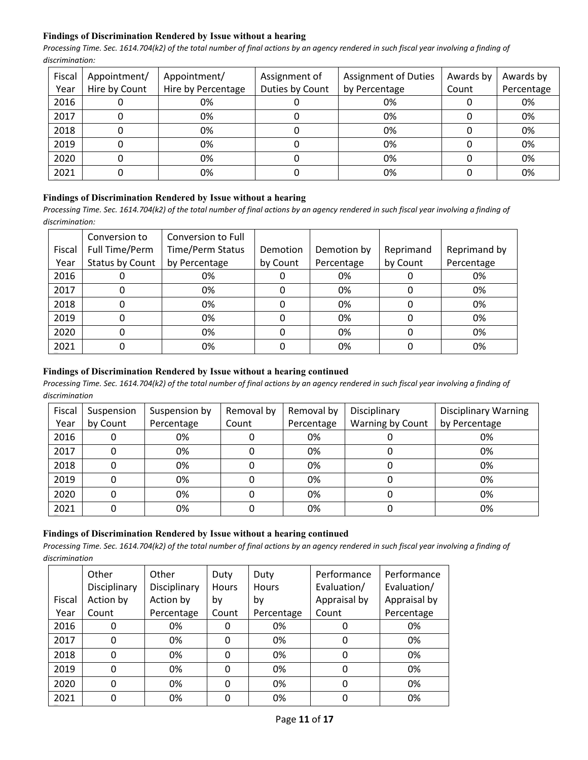# **Findings of Discrimination Rendered by Issue without a hearing**

*Processing Time. Sec. 1614.704(k2) of the total number of final actions by an agency rendered in such fiscal year involving a finding of discrimination:* 

| Fiscal | Appointment/  | Appointment/       | <b>Assignment of Duties</b><br>Assignment of |               | Awards by | Awards by  |
|--------|---------------|--------------------|----------------------------------------------|---------------|-----------|------------|
| Year   | Hire by Count | Hire by Percentage | Duties by Count                              | by Percentage | Count     | Percentage |
| 2016   |               | 0%                 | U                                            | 0%            |           | 0%         |
| 2017   |               | 0%                 |                                              | 0%            |           | 0%         |
| 2018   |               | 0%                 |                                              | 0%            |           | 0%         |
| 2019   | 0             | 0%                 |                                              | 0%            |           | 0%         |
| 2020   |               | 0%                 |                                              | 0%            |           | 0%         |
| 2021   |               | 0%                 |                                              | 0%            |           | 0%         |

# **Findings of Discrimination Rendered by Issue without a hearing**

*Processing Time. Sec. 1614.704(k2) of the total number of final actions by an agency rendered in such fiscal year involving a finding of discrimination:* 

|        | Conversion to   | Conversion to Full      |          |             |           |              |
|--------|-----------------|-------------------------|----------|-------------|-----------|--------------|
| Fiscal | Full Time/Perm  | <b>Time/Perm Status</b> | Demotion | Demotion by | Reprimand | Reprimand by |
| Year   | Status by Count | by Percentage           | by Count | Percentage  | by Count  | Percentage   |
| 2016   |                 | 0%                      |          | 0%          |           | 0%           |
| 2017   |                 | 0%                      |          | 0%          |           | 0%           |
| 2018   |                 | 0%                      |          | 0%          |           | 0%           |
| 2019   |                 | 0%                      |          | 0%          |           | 0%           |
| 2020   |                 | 0%                      |          | 0%          |           | 0%           |
| 2021   |                 | 0%                      |          | 0%          |           | 0%           |

## **Findings of Discrimination Rendered by Issue without a hearing continued**

*Processing Time. Sec. 1614.704(k2) of the total number of final actions by an agency rendered in such fiscal year involving a finding of discrimination*

| Fiscal | Suspension | Suspension by | Removal by | Removal by | Disciplinary     | <b>Disciplinary Warning</b> |
|--------|------------|---------------|------------|------------|------------------|-----------------------------|
| Year   | by Count   | Percentage    | Count      | Percentage | Warning by Count | by Percentage               |
| 2016   |            | 0%            |            | 0%         |                  | 0%                          |
| 2017   |            | 0%            |            | 0%         |                  | 0%                          |
| 2018   |            | 0%            |            | 0%         |                  | 0%                          |
| 2019   |            | 0%            |            | 0%         |                  | 0%                          |
| 2020   | 0          | 0%            |            | 0%         | 0                | 0%                          |
| 2021   |            | 0%            |            | 0%         |                  | 0%                          |

#### **Findings of Discrimination Rendered by Issue without a hearing continued**

|        | Other<br>Disciplinary | Other<br>Disciplinary | Duty<br><b>Hours</b> | Duty<br><b>Hours</b> | Performance<br>Evaluation/ | Performance<br>Evaluation/ |
|--------|-----------------------|-----------------------|----------------------|----------------------|----------------------------|----------------------------|
| Fiscal | Action by             | Action by             | bγ                   | by                   | Appraisal by               | Appraisal by               |
| Year   | Count                 | Percentage            | Count                | Percentage           | Count                      | Percentage                 |
| 2016   | 0                     | 0%                    |                      | 0%                   |                            | 0%                         |
| 2017   | 0                     | 0%                    | 0                    | 0%                   |                            | 0%                         |
| 2018   | 0                     | 0%                    | 0                    | 0%                   | 0                          | 0%                         |
| 2019   | 0                     | 0%                    | 0                    | 0%                   |                            | 0%                         |
| 2020   | 0                     | 0%                    | 0                    | 0%                   | 0                          | 0%                         |
|        |                       |                       |                      |                      |                            |                            |
| 2021   | 0                     | 0%                    |                      | 0%                   |                            | 0%                         |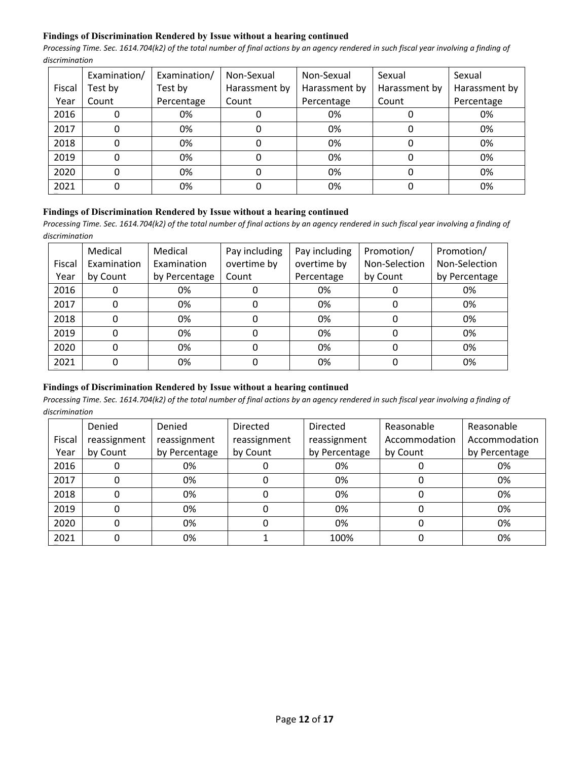## **Findings of Discrimination Rendered by Issue without a hearing continued**

*Processing Time. Sec. 1614.704(k2) of the total number of final actions by an agency rendered in such fiscal year involving a finding of discrimination*

|        | Examination/ | Examination/ | Non-Sexual    | Non-Sexual    | Sexual        | Sexual        |
|--------|--------------|--------------|---------------|---------------|---------------|---------------|
| Fiscal | Test by      | Test by      | Harassment by | Harassment by | Harassment by | Harassment by |
| Year   | Count        | Percentage   | Count         | Percentage    | Count         | Percentage    |
| 2016   |              | 0%           |               | 0%            |               | 0%            |
| 2017   |              | 0%           |               | 0%            |               | 0%            |
| 2018   | 0            | 0%           | 0             | 0%            |               | 0%            |
| 2019   |              | 0%           |               | 0%            |               | 0%            |
| 2020   |              | 0%           |               | 0%            |               | 0%            |
| 2021   |              | 0%           |               | 0%            |               | 0%            |

#### **Findings of Discrimination Rendered by Issue without a hearing continued**

*Processing Time. Sec. 1614.704(k2) of the total number of final actions by an agency rendered in such fiscal year involving a finding of discrimination*

|        | Medical     | Medical       | Pay including | Pay including | Promotion/    | Promotion/    |
|--------|-------------|---------------|---------------|---------------|---------------|---------------|
| Fiscal | Examination | Examination   | overtime by   | overtime by   | Non-Selection | Non-Selection |
| Year   | by Count    | by Percentage | Count         | Percentage    | by Count      | by Percentage |
| 2016   |             | 0%            |               | 0%            |               | 0%            |
| 2017   |             | 0%            | 0             | 0%            | 0             | 0%            |
| 2018   |             | 0%            |               | 0%            | 0             | 0%            |
| 2019   |             | 0%            |               | 0%            | 0             | 0%            |
| 2020   |             | 0%            |               | 0%            | $\Omega$      | 0%            |
| 2021   |             | 0%            |               | 0%            |               | 0%            |

# **Findings of Discrimination Rendered by Issue without a hearing continued**

|        | Denied       | Denied        | <b>Directed</b> | Directed      | Reasonable    | Reasonable    |
|--------|--------------|---------------|-----------------|---------------|---------------|---------------|
| Fiscal | reassignment | reassignment  | reassignment    | reassignment  | Accommodation | Accommodation |
| Year   | by Count     | by Percentage | by Count        | by Percentage | by Count      | by Percentage |
| 2016   | 0            | 0%            |                 | 0%            |               | 0%            |
| 2017   | 0            | 0%            |                 | 0%            | 0             | 0%            |
| 2018   | 0            | 0%            |                 | 0%            |               | 0%            |
| 2019   | 0            | 0%            |                 | 0%            |               | 0%            |
| 2020   | 0            | 0%            |                 | 0%            |               | 0%            |
| 2021   | 0            | 0%            |                 | 100%          |               | 0%            |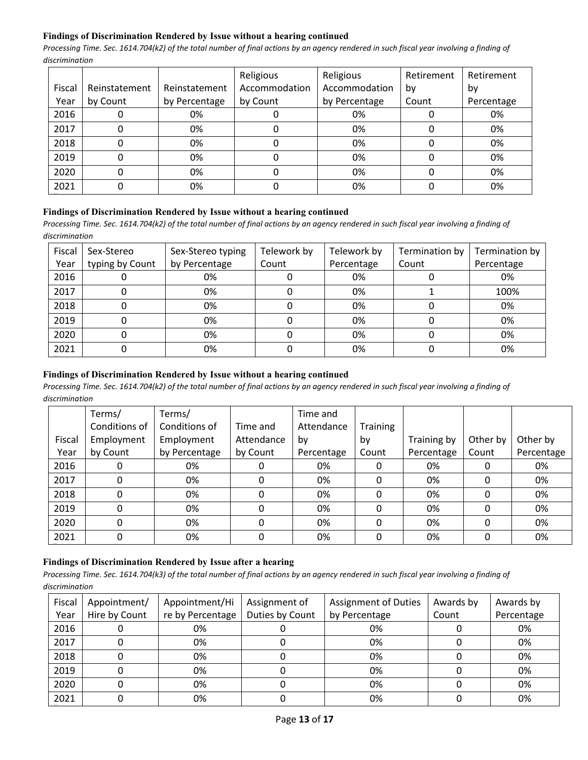## **Findings of Discrimination Rendered by Issue without a hearing continued**

*Processing Time. Sec. 1614.704(k2) of the total number of final actions by an agency rendered in such fiscal year involving a finding of discrimination*

|        |               |               | Religious     | Religious     | Retirement | Retirement |
|--------|---------------|---------------|---------------|---------------|------------|------------|
| Fiscal | Reinstatement | Reinstatement | Accommodation | Accommodation | bv         | by         |
| Year   | by Count      | by Percentage | by Count      | by Percentage | Count      | Percentage |
| 2016   |               | 0%            |               | 0%            |            | 0%         |
| 2017   |               | 0%            |               | 0%            |            | 0%         |
| 2018   |               | 0%            |               | 0%            |            | 0%         |
| 2019   |               | 0%            |               | 0%            |            | 0%         |
| 2020   |               | 0%            |               | 0%            |            | 0%         |
| 2021   |               | 0%            |               | 0%            |            | 0%         |

#### **Findings of Discrimination Rendered by Issue without a hearing continued**

*Processing Time. Sec. 1614.704(k2) of the total number of final actions by an agency rendered in such fiscal year involving a finding of discrimination*

| Fiscal | Sex-Stereo      | Sex-Stereo typing | Telework by | Telework by | Termination by | Termination by |
|--------|-----------------|-------------------|-------------|-------------|----------------|----------------|
| Year   | typing by Count | by Percentage     | Count       | Percentage  | Count          | Percentage     |
| 2016   |                 | 0%                |             | 0%          |                | 0%             |
| 2017   |                 | 0%                |             | 0%          |                | 100%           |
| 2018   |                 | 0%                |             | 0%          |                | 0%             |
| 2019   |                 | 0%                |             | 0%          |                | 0%             |
| 2020   |                 | 0%                |             | 0%          |                | 0%             |
| 2021   |                 | 0%                |             | 0%          |                | 0%             |

## **Findings of Discrimination Rendered by Issue without a hearing continued**

*Processing Time. Sec. 1614.704(k2) of the total number of final actions by an agency rendered in such fiscal year involving a finding of discrimination*

|        | Terms/        | Terms/        |            | Time and   |          |             |          |            |
|--------|---------------|---------------|------------|------------|----------|-------------|----------|------------|
|        | Conditions of | Conditions of | Time and   | Attendance | Training |             |          |            |
| Fiscal | Employment    | Employment    | Attendance | by         | by       | Training by | Other by | Other by   |
| Year   | by Count      | by Percentage | by Count   | Percentage | Count    | Percentage  | Count    | Percentage |
| 2016   | 0             | 0%            | 0          | 0%         |          | 0%          | 0        | 0%         |
| 2017   | 0             | 0%            | 0          | 0%         | 0        | 0%          | 0        | 0%         |
| 2018   | 0             | 0%            | 0          | 0%         | 0        | 0%          | 0        | 0%         |
| 2019   | 0             | 0%            | 0          | 0%         | 0        | 0%          | 0        | 0%         |
| 2020   | 0             | 0%            | 0          | 0%         | 0        | 0%          | 0        | 0%         |
| 2021   | 0             | 0%            | 0          | 0%         | 0        | 0%          | 0        | 0%         |

# **Findings of Discrimination Rendered by Issue after a hearing**

| Fiscal | Appointment/  | Appointment/Hi   | Assignment of   | <b>Assignment of Duties</b> | Awards by | Awards by  |
|--------|---------------|------------------|-----------------|-----------------------------|-----------|------------|
| Year   | Hire by Count | re by Percentage | Duties by Count | by Percentage               | Count     | Percentage |
| 2016   |               | 0%               |                 | 0%                          |           | 0%         |
| 2017   |               | 0%               |                 | 0%                          |           | 0%         |
| 2018   |               | 0%               |                 | 0%                          |           | 0%         |
| 2019   |               | 0%               |                 | 0%                          |           | 0%         |
| 2020   |               | 0%               |                 | 0%                          |           | 0%         |
| 2021   |               | 0%               |                 | 0%                          |           | 0%         |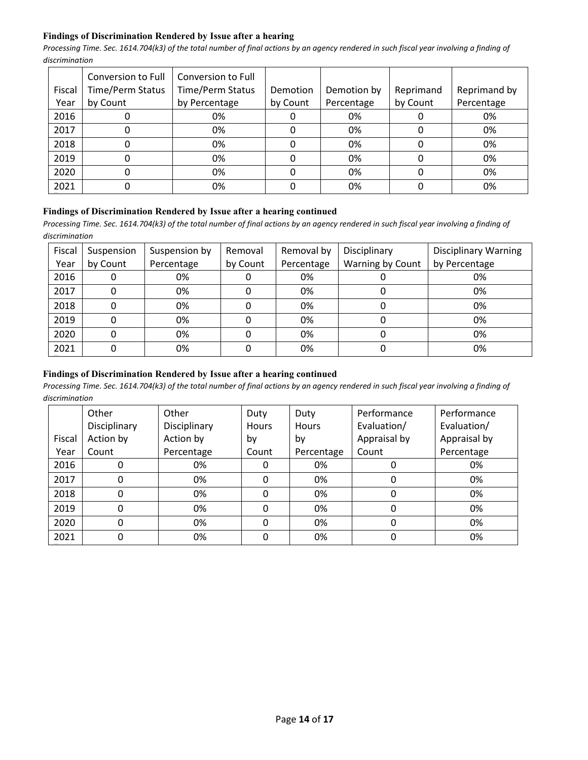## **Findings of Discrimination Rendered by Issue after a hearing**

*Processing Time. Sec. 1614.704(k3) of the total number of final actions by an agency rendered in such fiscal year involving a finding of discrimination*

|        | Conversion to Full      | Conversion to Full |          |             |           |              |
|--------|-------------------------|--------------------|----------|-------------|-----------|--------------|
| Fiscal | <b>Time/Perm Status</b> | Time/Perm Status   | Demotion | Demotion by | Reprimand | Reprimand by |
| Year   | by Count                | by Percentage      | by Count | Percentage  | by Count  | Percentage   |
| 2016   | υ                       | 0%                 | υ        | 0%          |           | 0%           |
| 2017   | 0                       | 0%                 | 0        | 0%          |           | 0%           |
| 2018   | 0                       | 0%                 | 0        | 0%          |           | 0%           |
| 2019   | 0                       | 0%                 | 0        | 0%          |           | 0%           |
| 2020   | 0                       | 0%                 | 0        | 0%          |           | 0%           |
| 2021   | 0                       | 0%                 |          | 0%          |           | 0%           |

# **Findings of Discrimination Rendered by Issue after a hearing continued**

Processing Time. Sec. 1614.704(k3) of the total number of final actions by an agency rendered in such fiscal year involving a finding of *discrimination*

| Fiscal<br>Year | Suspension<br>by Count | Suspension by<br>Percentage | Removal<br>by Count | Removal by<br>Percentage | Disciplinary<br>Warning by Count | <b>Disciplinary Warning</b><br>by Percentage |
|----------------|------------------------|-----------------------------|---------------------|--------------------------|----------------------------------|----------------------------------------------|
| 2016           | 0                      | 0%                          |                     | 0%                       |                                  | 0%                                           |
| 2017           | 0                      | 0%                          |                     | 0%                       |                                  | 0%                                           |
| 2018           |                        | 0%                          |                     | 0%                       |                                  | 0%                                           |
| 2019           | 0                      | 0%                          |                     | 0%                       |                                  | 0%                                           |
| 2020           | 0                      | 0%                          |                     | 0%                       |                                  | 0%                                           |
| 2021           | 0                      | 0%                          |                     | 0%                       |                                  | 0%                                           |

## **Findings of Discrimination Rendered by Issue after a hearing continued**

|        | Other        | Other        | Duty         | Duty         | Performance  | Performance  |
|--------|--------------|--------------|--------------|--------------|--------------|--------------|
|        | Disciplinary | Disciplinary | <b>Hours</b> | <b>Hours</b> | Evaluation/  | Evaluation/  |
| Fiscal | Action by    | Action by    | by           | by           | Appraisal by | Appraisal by |
| Year   | Count        | Percentage   | Count        | Percentage   | Count        | Percentage   |
| 2016   |              | 0%           | 0            | 0%           |              | 0%           |
| 2017   |              | 0%           | 0            | 0%           | 0            | 0%           |
| 2018   | $\Omega$     | 0%           | 0            | 0%           | 0            | 0%           |
| 2019   | $\Omega$     | 0%           | 0            | 0%           | 0            | 0%           |
| 2020   |              | 0%           | 0            | 0%           | 0            | 0%           |
| 2021   | 0            | 0%           | 0            | 0%           |              | 0%           |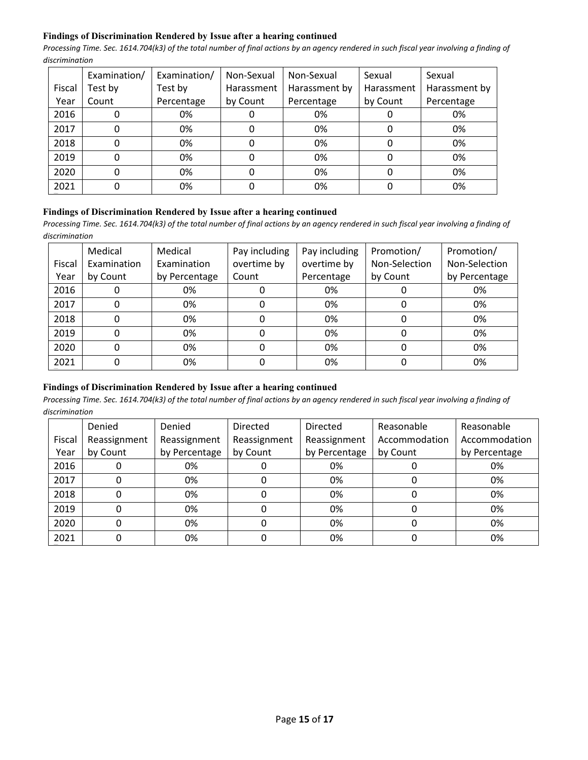## **Findings of Discrimination Rendered by Issue after a hearing continued**

*Processing Time. Sec. 1614.704(k3) of the total number of final actions by an agency rendered in such fiscal year involving a finding of discrimination*

|        | Examination/ | Examination/ | Non-Sexual | Non-Sexual    | Sexual     | Sexual        |
|--------|--------------|--------------|------------|---------------|------------|---------------|
| Fiscal | Test by      | Test by      | Harassment | Harassment by | Harassment | Harassment by |
| Year   | Count        | Percentage   | by Count   | Percentage    | by Count   | Percentage    |
| 2016   |              | 0%           |            | 0%            |            | 0%            |
| 2017   |              | 0%           |            | 0%            |            | 0%            |
| 2018   |              | 0%           |            | 0%            |            | 0%            |
| 2019   |              | 0%           |            | 0%            |            | 0%            |
| 2020   |              | 0%           |            | 0%            |            | 0%            |
| 2021   |              | 0%           |            | 0%            |            | 0%            |

## **Findings of Discrimination Rendered by Issue after a hearing continued**

*Processing Time. Sec. 1614.704(k3) of the total number of final actions by an agency rendered in such fiscal year involving a finding of discrimination*

|        | Medical     | Medical       | Pay including | Pay including | Promotion/    | Promotion/    |
|--------|-------------|---------------|---------------|---------------|---------------|---------------|
| Fiscal | Examination | Examination   | overtime by   | overtime by   | Non-Selection | Non-Selection |
| Year   | by Count    | by Percentage | Count         | Percentage    | by Count      | by Percentage |
| 2016   |             | 0%            |               | 0%            |               | 0%            |
| 2017   |             | 0%            |               | 0%            |               | 0%            |
| 2018   |             | 0%            | 0             | 0%            | 0             | 0%            |
| 2019   |             | 0%            | 0             | 0%            | 0             | 0%            |
| 2020   |             | 0%            | 0             | 0%            | 0             | 0%            |
| 2021   |             | 0%            |               | 0%            |               | 0%            |

# **Findings of Discrimination Rendered by Issue after a hearing continued**

|        | Denied       | Denied        | <b>Directed</b> | Directed      | Reasonable    | Reasonable    |
|--------|--------------|---------------|-----------------|---------------|---------------|---------------|
| Fiscal | Reassignment | Reassignment  | Reassignment    | Reassignment  | Accommodation | Accommodation |
| Year   | by Count     | by Percentage | by Count        | by Percentage | by Count      | by Percentage |
| 2016   |              | 0%            |                 | 0%            |               | 0%            |
| 2017   |              | 0%            |                 | 0%            |               | 0%            |
| 2018   |              | 0%            |                 | 0%            |               | 0%            |
| 2019   |              | 0%            |                 | 0%            | O             | 0%            |
| 2020   |              | 0%            |                 | 0%            |               | 0%            |
| 2021   |              | 0%            |                 | 0%            |               | 0%            |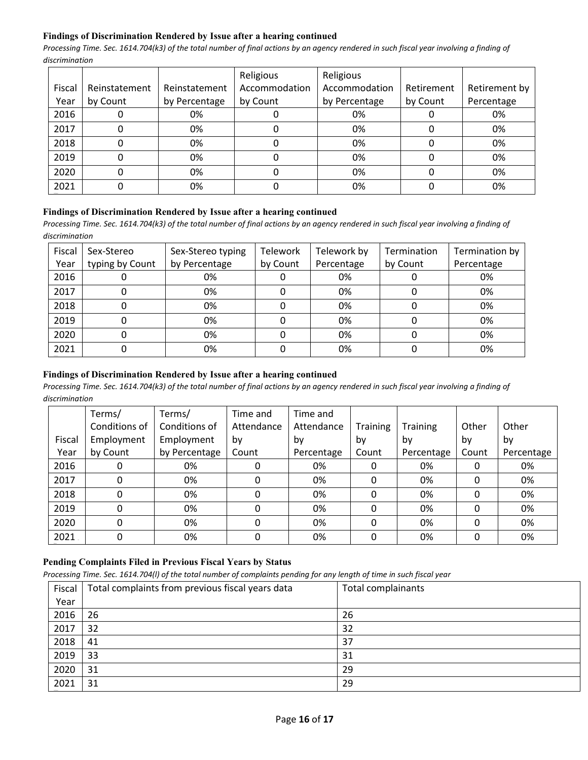## **Findings of Discrimination Rendered by Issue after a hearing continued**

*Processing Time. Sec. 1614.704(k3) of the total number of final actions by an agency rendered in such fiscal year involving a finding of discrimination*

|        |               |               | Religious     | Religious     |            |               |
|--------|---------------|---------------|---------------|---------------|------------|---------------|
| Fiscal | Reinstatement | Reinstatement | Accommodation | Accommodation | Retirement | Retirement by |
| Year   | by Count      | by Percentage | by Count      | by Percentage | by Count   | Percentage    |
| 2016   |               | 0%            |               | 0%            |            | 0%            |
| 2017   |               | 0%            |               | 0%            |            | 0%            |
| 2018   |               | 0%            |               | 0%            |            | 0%            |
| 2019   |               | 0%            |               | 0%            |            | 0%            |
| 2020   |               | 0%            |               | 0%            |            | 0%            |
| 2021   |               | 0%            |               | 0%            |            | 0%            |

#### **Findings of Discrimination Rendered by Issue after a hearing continued**

*Processing Time. Sec. 1614.704(k3) of the total number of final actions by an agency rendered in such fiscal year involving a finding of discrimination*

| Fiscal | Sex-Stereo      | Sex-Stereo typing | Telework | Telework by | Termination | Termination by |
|--------|-----------------|-------------------|----------|-------------|-------------|----------------|
| Year   | typing by Count | by Percentage     | by Count | Percentage  | by Count    | Percentage     |
| 2016   |                 | 0%                |          | 0%          |             | 0%             |
| 2017   |                 | 0%                |          | 0%          |             | 0%             |
| 2018   |                 | 0%                |          | 0%          |             | 0%             |
| 2019   |                 | 0%                |          | 0%          |             | 0%             |
| 2020   |                 | 0%                |          | 0%          |             | 0%             |
| 2021   |                 | 0%                |          | 0%          |             | 0%             |

## **Findings of Discrimination Rendered by Issue after a hearing continued**

*Processing Time. Sec. 1614.704(k3) of the total number of final actions by an agency rendered in such fiscal year involving a finding of discrimination*

|        | Terms/        | Terms/        | Time and   | Time and   |          |                 |       |            |
|--------|---------------|---------------|------------|------------|----------|-----------------|-------|------------|
|        | Conditions of | Conditions of | Attendance | Attendance | Training | <b>Training</b> | Other | Other      |
| Fiscal | Employment    | Employment    | by         | bv         | by       | bv              | by    | by         |
| Year   | by Count      | by Percentage | Count      | Percentage | Count    | Percentage      | Count | Percentage |
| 2016   |               | 0%            |            | 0%         | 0        | 0%              |       | 0%         |
| 2017   | 0             | 0%            | 0          | 0%         | 0        | 0%              | 0     | 0%         |
| 2018   | 0             | 0%            |            | 0%         | 0        | 0%              |       | 0%         |
| 2019   | 0             | 0%            |            | 0%         | 0        | 0%              |       | 0%         |
| 2020   | $\Omega$      | 0%            | 0          | 0%         | 0        | 0%              |       | 0%         |
| 2021   | 0             | 0%            | 0          | 0%         | 0        | 0%              |       | 0%         |

# **Pending Complaints Filed in Previous Fiscal Years by Status**

*Processing Time. Sec. 1614.704(l) of the total number of complaints pending for any length of time in such fiscal year*

| Fiscal | Total complaints from previous fiscal years data | Total complainants |
|--------|--------------------------------------------------|--------------------|
| Year   |                                                  |                    |
| 2016   | 26                                               | 26                 |
| 2017   | 32                                               | 32                 |
| 2018   | 41                                               | 37                 |
| 2019   | 33                                               | 31                 |
| 2020   | 31                                               | 29                 |
| 2021   | 31                                               | 29                 |